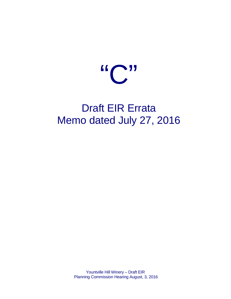

# Draft EIR Errata Memo dated July 27, 2016

Yountville Hill Winery – Draft EIR Planning Commission Hearing August, 3, 2016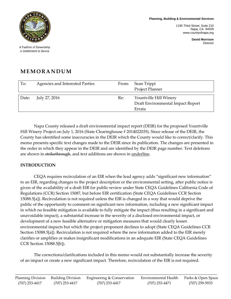**Planning, Building & Environmental Services**

1195 Third Street, Suite 210 Napa, CA 94559 www.countyofnapa.org

> **David Morrison** Director



A Tradition of Stewardship A Commitment to Service

# **MEMORANDUM**

| To:   | Agencies and Interested Parties | From: | Sean Trippi<br>Project Planner                                        |
|-------|---------------------------------|-------|-----------------------------------------------------------------------|
| Date: | July 27, 2016                   | Re:   | Yountville Hill Winery<br>Draft Environmental Impact Report<br>Errata |

Napa County released a draft environmental impact report (DEIR) for the proposed Yountville Hill Winery Project on July 1, 2016 (State Clearinghouse # 2014022035). Since release of the DEIR, the County has identified some inaccuracies in the DEIR which the County would like to correct/clarify. This memo presents specific text changes made to the DEIR since its publication. The changes are presented in the order in which they appear in the DEIR and are identified by the DEIR page number. Text deletions are shown in strikethrough, and text additions are shown in underline.

# **INTRODUCTION**

CEQA requires recirculation of an EIR when the lead agency adds "significant new information" to an EIR, regarding changes to the project description or the environmental setting, after public notice is given of the availability of a draft EIR for public review under State CEQA Guidelines California Code of Regulations (CCR) Section 15087, but before EIR certification (State CEQA Guidelines CCR Section 15088.5[a]). Recirculation is not required unless the EIR is changed in a way that would deprive the public of the opportunity to comment on significant new information, including a new significant impact in which no feasible mitigation is available to fully mitigate the impact (thus resulting in a significant and unavoidable impact), a substantial increase in the severity of a disclosed environmental impact, or development of a new feasible alternative or mitigation measures that would clearly lessen environmental impacts but which the project proponent declines to adopt (State CEQA Guidelines CCR Section 15088.5[a]). Recirculation is not required where the new information added to the EIR merely clarifies or amplifies or makes insignificant modifications in an adequate EIR (State CEQA Guidelines CCR Section 15088.5[b]).

The corrections/clarifications included in this memo would not substantially increase the severity of an impact or create a new significant impact. Therefore, recirculation of the EIR is not required.

\_\_\_\_\_\_\_\_\_\_\_\_\_\_\_\_\_\_\_\_\_\_\_\_\_\_\_\_\_\_\_\_\_\_\_\_\_\_\_\_\_\_\_\_\_\_\_\_\_\_\_\_\_\_\_\_\_\_\_\_\_\_\_\_\_\_\_\_\_\_\_\_\_\_\_\_\_\_\_\_\_\_\_\_\_\_\_\_\_\_\_\_\_\_\_\_\_\_\_\_\_\_\_\_\_\_\_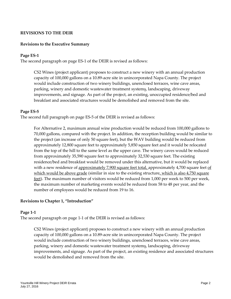# **REVISIONS TO THE DEIR**

#### **Revisions to the Executive Summary**

#### **Page ES-1**

The second paragraph on page ES-1 of the DEIR is revised as follows:

CS2 Wines (project applicant) proposes to construct a new winery with an annual production capacity of 100,000 gallons on a 10.89-acre site in unincorporated Napa County. The project would include construction of two winery buildings, unenclosed terraces, wine cave areas, parking, winery and domestic wastewater treatment systems, landscaping, driveway improvements, and signage. As part of the project, an existing, unoccupied residence/bed and breakfast and associated structures would be demolished and removed from the site.

#### **Page ES-5**

The second full paragraph on page ES-5 of the DEIR is revised as follows:

For Alternative 2, maximum annual wine production would be reduced from 100,000 gallons to 70,000 gallons, compared with the project. In addition, the reception building would be similar to the project (an increase of only 50 square feet), but the WAV building would be reduced from approximately 12,800 square feet to approximately 5,850 square feet and it would be relocated from the top of the hill to the same level as the upper cave. The winery caves would be reduced from approximately 35,590 square feet to approximately 32,530 square feet. The existing residence/bed and breakfast would be removed under this alternative, but it would be replaced with a new residence of approximately  $7,900$  square feet total, approximately 4,700 square feet of which would be above grade (similar in size to the existing structure, which is also 4,750 square feet). The maximum number of visitors would be reduced from 1,000 per week to 500 per week, the maximum number of marketing events would be reduced from 58 to 48 per year, and the number of employees would be reduced from 19 to 16.

#### **Revisions to Chapter 1, "Introduction"**

#### **Page 1-1**

The second paragraph on page 1-1 of the DEIR is revised as follows:

CS2 Wines (project applicant) proposes to construct a new winery with an annual production capacity of 100,000 gallons on a 10.89-acre site in unincorporated Napa County. The project would include construction of two winery buildings, unenclosed terraces, wine cave areas, parking, winery and domestic wastewater treatment systems, landscaping, driveway improvements, and signage. As part of the project, an existing residence and associated structures would be demolished and removed from the site.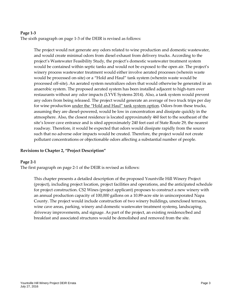# **Page 1-3**

The sixth paragraph on page 1-3 of the DEIR is revised as follows:

The project would not generate any odors related to wine production and domestic wastewater, and would create minimal odors from diesel exhaust from delivery trucks. According to the project's Wastewater Feasibility Study, the project's domestic wastewater treatment system would be contained within septic tanks and would not be exposed to the open air. The project's winery process wastewater treatment would either involve aerated processes (wherein waste would be processed on-site) or a "Hold and Haul" tank system (wherein waste would be processed off-site). An aerated system neutralizes odors that would otherwise be generated in an anaerobic system. The proposed aerated system has been installed adjacent to high-turn over restaurants without any odor impacts (LYVE Systems 2014). Also, a tank system would prevent any odors from being released. The project would generate an average of two truck trips per day for wine production under the "Hold and Haul" tank system option. Odors from these trucks, assuming they are diesel-powered, would be low in concentration and dissipate quickly in the atmosphere. Also, the closest residence is located approximately 460 feet to the southeast of the site's lower cave entrance and is sited approximately 240 feet east of State Route 29, the nearest roadway. Therefore, it would be expected that odors would dissipate rapidly from the source such that no adverse odor impacts would be created. Therefore, the project would not create pollutant concentrations or objectionable odors affecting a substantial number of people.

# **Revisions to Chapter 2, "Project Description"**

#### **Page 2-1**

The first paragraph on page 2-1 of the DEIR is revised as follows:

This chapter presents a detailed description of the proposed Yountville Hill Winery Project (project), including project location, project facilities and operations, and the anticipated schedule for project construction. CS2 Wines (project applicant) proposes to construct a new winery with an annual production capacity of 100,000 gallons on a 10.89-acre site in unincorporated Napa County. The project would include construction of two winery buildings, unenclosed terraces, wine cave areas, parking, winery and domestic wastewater treatment systems, landscaping, driveway improvements, and signage. As part of the project, an existing residence/bed and breakfast and associated structures would be demolished and removed from the site.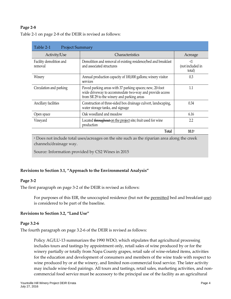# **Page 2-8**

| Table 2-1<br><b>Project Summary</b> |                                                                                                                                                                   |                                        |  |  |  |
|-------------------------------------|-------------------------------------------------------------------------------------------------------------------------------------------------------------------|----------------------------------------|--|--|--|
| Activity/Use                        | <b>Characteristics</b>                                                                                                                                            | Acreage                                |  |  |  |
| Facility demolition and<br>removal  | Demolition and removal of existing residence/bed and breakfast<br>and associated structures                                                                       | $\leq$ 1<br>(not included in<br>total) |  |  |  |
| Winery                              | Annual production capacity of 100,000 gallons; winery visitor<br>services                                                                                         | 0.3                                    |  |  |  |
| Circulation and parking             | Paved parking areas with 37 parking spaces; new, 20-foot<br>wide driveway to accommodate two-way and provide access<br>from SR 29 to the winery and parking areas | 1.1                                    |  |  |  |
| Ancillary facilities                | Construction of three-sided box drainage culvert, landscaping,<br>water storage tanks, and signage                                                                | 0.34                                   |  |  |  |
| Open space                          | Oak woodland and meadow                                                                                                                                           | 6.16                                   |  |  |  |
| Vineyard                            | Located throughout on the project site; fruit used for wine<br>production                                                                                         | 2.2                                    |  |  |  |
|                                     | <b>Total</b>                                                                                                                                                      | 10.1 <sup>a</sup>                      |  |  |  |

Table 2-1 on page 2-8 of the DEIR is revised as follows:

<sup>a</sup> Does not include total uses/acreages on the site such as the riparian area along the creek channels/drainage way.

Source: Information provided by CS2 Wines in 2015

# **Revisions to Section 3.1, "Approach to the Environmental Analysis"**

# **Page 3-2**

The first paragraph on page 3-2 of the DEIR is revised as follows:

For purposes of this EIR, the unoccupied residence (but not the <u>permitted</u> bed and breakfast use) is considered to be part of the baseline.

# **Revisions to Section 3.2, "Land Use"**

#### **Page 3.2-6**

The fourth paragraph on page 3.2-6 of the DEIR is revised as follows:

Policy AG/LU-13 summarizes the 1990 WDO, which stipulates that agricultural processing includes tours and tastings by appointment only, retail sales of wine produced by or for the winery partially or totally from Napa County grapes, retail sale of wine-related items, activities for the education and development of consumers and members of the wine trade with respect to wine produced by or at the winery, and limited non-commercial food service. The later activity may include wine-food pairings. All tours and tastings, retail sales, marketing activities, and noncommercial food service must be accessory to the principal use of the facility as an agricultural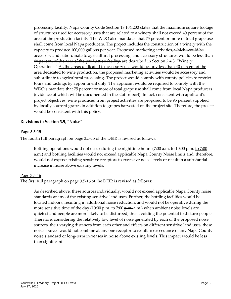processing facility. Napa County Code Section 18.104.200 states that the maximum square footage of structures used for accessory uses that are related to a winery shall not exceed 40 percent of the area of the production facility. The WDO also mandates that 75 percent or more of total grape use shall come from local Napa producers. The project includes the construction of a winery with the capacity to produce 100,000 gallons per year. Proposed marketing activities, which would be accessory and subordinate to agricultural processing, and accessory structures would be less than 40 percent of the area of the production facility, are described in Section 2.4.3, "Winery Operations." As the areas dedicated to accessory use would occupy less than 40 percent of the area dedicated to wine production, the proposed marketing activities would be accessory and subordinate to agricultural processing. The project would comply with county policies to restrict tours and tastings by appointment only. The applicant would be required to comply with the WDO's mandate that 75 percent or more of total grape use shall come from local Napa producers (evidence of which will be documented in the staff report). In fact, consistent with applicant's project objectives, wine produced from project activities are proposed to be 95 percent supplied by locally sourced grapes in addition to grapes harvested on the project site. Therefore, the project would be consistent with this policy.

# **Revisions to Section 3.5, "Noise"**

#### **Page 3.5-15**

The fourth full paragraph on page 3.5-15 of the DEIR is revised as follows:

Bottling operations would not occur during the nighttime hours (7:00 a.m. to 10:00 p.m. to 7:00 a.m.) and bottling facilities would not exceed applicable Napa County Noise limits and, therefore, would not expose existing sensitive receptors to excessive noise levels or result in a substantial increase in noise above existing levels.

#### Page 3.5-16

The first full paragraph on page 3.5-16 of the DEIR is revised as follows:

As described above, these sources individually, would not exceed applicable Napa County noise standards at any of the existing sensitive land uses. Further, the bottling facilities would be located indoors, resulting in additional noise reduction, and would not be operative during the more sensitive time of the day  $(10:00 \text{ p.m.})$  to  $(7:00 \text{ p.m.})$  when ambient noise levels are quietest and people are more likely to be disturbed, thus avoiding the potential to disturb people. Therefore, considering the relatively low level of noise generated by each of the proposed noise sources, their varying distances from each other and effects on different sensitive land uses, these noise sources would not combine at any one receptor to result in exceedance of any Napa County noise standard or long-term increases in noise above existing levels. This impact would be less than significant.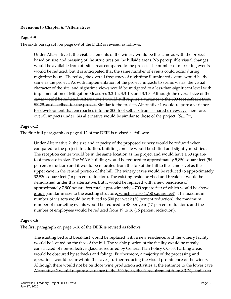# **Revisions to Chapter 6, "Alternatives"**

#### **Page 6-9**

The sixth paragraph on page 6-9 of the DEIR is revised as follows:

Under Alternative 1, the visible elements of the winery would be the same as with the project based on size and massing of the structures on the hillside areas. No perceptible visual changes would be available from off-site areas compared to the project. The number of marketing events would be reduced, but it is anticipated that the same number of events could occur during nighttime hours. Therefore, the overall frequency of nighttime illuminated events would be the same as the project. As with implementation of the project, impacts to scenic vistas, the visual character of the site, and nighttime views would be mitigated to a less-than-significant level with implementation of Mitigation Measures 3.3-1a, 3.3-1b, and 3.3-3. Although the overall size of the caves would be reduced, Alternative 1 would still require a variance to the 600 foot setback from SR 29, as described for the project. Similar to the project, Alternative 1 would require a variance for development that encroaches into the 300-foot setback from a shared driveway. Therefore, overall impacts under this alternative would be similar to those of the project. *(Similar)*

#### **Page 6-12**

The first full paragraph on page 6-12 of the DEIR is revised as follows:

Under Alternative 2, the size and capacity of the proposed winery would be reduced when compared to the project. In addition, buildings on-site would be shifted and slightly modified. The reception center would be in the same location as the project and would have a 50 squarefoot increase in size. The WAV building would be reduced to approximately 5,850 square feet (54 percent reduction) and it would be relocated from the top of the hill to the same level as the upper cave in the central portion of the hill. The winery caves would be reduced to approximately 32,530 square feet (16 percent reduction). The existing residence/bed and breakfast would be demolished under this alternative, but it would be replaced with a new residence of approximately 7,900 square feet total, approximately 4,700 square feet of which would be above grade (similar in size to the existing structure, which is also 4,750 square feet). The maximum number of visitors would be reduced to 500 per week (50 percent reduction), the maximum number of marketing events would be reduced to 48 per year (17 percent reduction), and the number of employees would be reduced from 19 to 16 (16 percent reduction).

#### **Page 6-16**

The first paragraph on page 6-16 of the DEIR is revised as follows:

The existing bed and breakfast would be replaced with a new residence, and the winery facility would be located on the face of the hill. The visible portion of the facility would be mostly constructed of non-reflective glass, as required by General Plan Policy CC-33. Parking areas would be obscured by setbacks and foliage. Furthermore, a majority of the processing and operations would occur within the caves, further reducing the visual prominence of the winery. Although there would not be outdoor wine production activities at the entrance to the lower cave, Alternative 2 would require a variance to the 600 foot setback requirement from SR 29, similar to